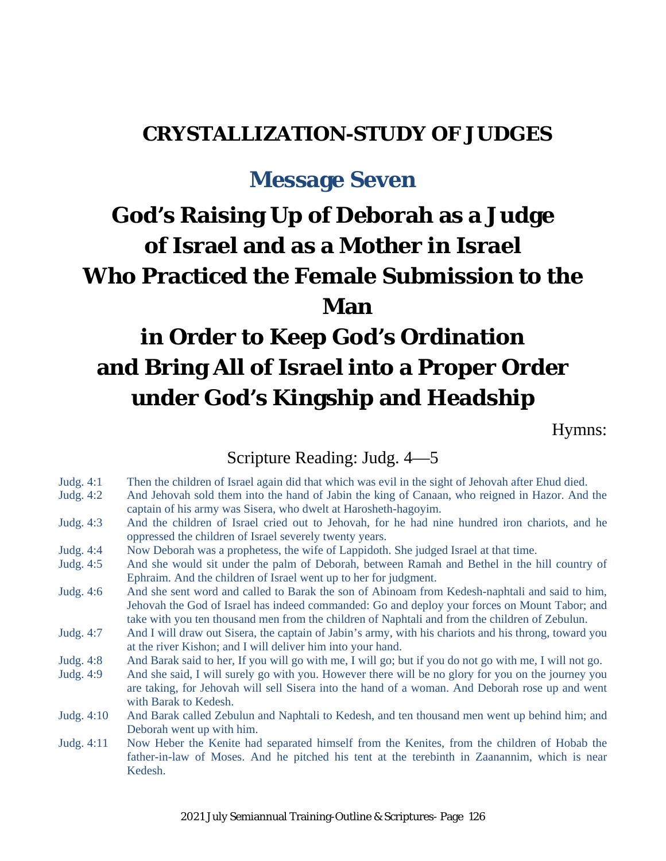# **CRYSTALLIZATION-STUDY OF JUDGES**

# **Message Seven**

# **God's Raising Up of Deborah as a Judge of Israel and as a Mother in Israel Who Practiced the Female Submission to the Man**

# **in Order to Keep God's Ordination and Bring All of Israel into a Proper Order under God's Kingship and Headship**

Hymns:

#### Scripture Reading: Judg. 4—5

- Judg. 4:1 Then the children of Israel again did that which was evil in the sight of Jehovah after Ehud died.
- Judg. 4:2 And Jehovah sold them into the hand of Jabin the king of Canaan, who reigned in Hazor. And the captain of his army was Sisera, who dwelt at Harosheth-hagoyim.
- Judg. 4:3 And the children of Israel cried out to Jehovah, for he had nine hundred iron chariots, and he oppressed the children of Israel severely twenty years.
- Judg. 4:4 Now Deborah was a prophetess, the wife of Lappidoth. She judged Israel at that time.
- Judg. 4:5 And she would sit under the palm of Deborah, between Ramah and Bethel in the hill country of Ephraim. And the children of Israel went up to her for judgment.
- Judg. 4:6 And she sent word and called to Barak the son of Abinoam from Kedesh-naphtali and said to him, Jehovah the God of Israel has indeed commanded: Go and deploy your forces on Mount Tabor; and take with you ten thousand men from the children of Naphtali and from the children of Zebulun.
- Judg. 4:7 And I will draw out Sisera, the captain of Jabin's army, with his chariots and his throng, toward you at the river Kishon; and I will deliver him into your hand.
- Judg. 4:8 And Barak said to her, If you will go with me, I will go; but if you do not go with me, I will not go.
- Judg. 4:9 And she said, I will surely go with you. However there will be no glory for you on the journey you are taking, for Jehovah will sell Sisera into the hand of a woman. And Deborah rose up and went with Barak to Kedesh.
- Judg. 4:10 And Barak called Zebulun and Naphtali to Kedesh, and ten thousand men went up behind him; and Deborah went up with him.
- Judg. 4:11 Now Heber the Kenite had separated himself from the Kenites, from the children of Hobab the father-in-law of Moses. And he pitched his tent at the terebinth in Zaanannim, which is near Kedesh.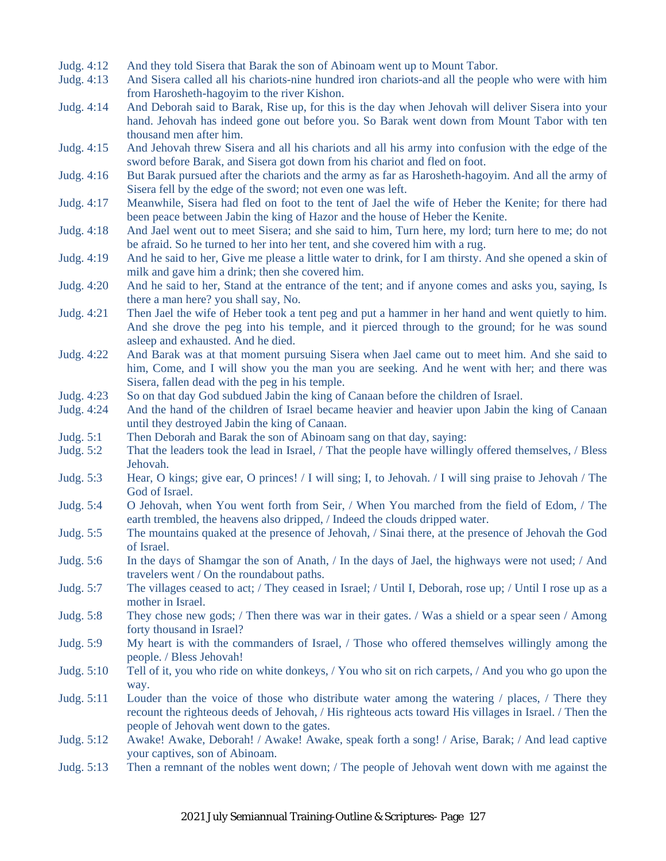- Judg. 4:12 And they told Sisera that Barak the son of Abinoam went up to Mount Tabor.
- Judg. 4:13 And Sisera called all his chariots-nine hundred iron chariots-and all the people who were with him from Harosheth-hagoyim to the river Kishon.
- Judg. 4:14 And Deborah said to Barak, Rise up, for this is the day when Jehovah will deliver Sisera into your hand. Jehovah has indeed gone out before you. So Barak went down from Mount Tabor with ten thousand men after him.
- Judg. 4:15 And Jehovah threw Sisera and all his chariots and all his army into confusion with the edge of the sword before Barak, and Sisera got down from his chariot and fled on foot.
- Judg. 4:16 But Barak pursued after the chariots and the army as far as Harosheth-hagoyim. And all the army of Sisera fell by the edge of the sword; not even one was left.
- Judg. 4:17 Meanwhile, Sisera had fled on foot to the tent of Jael the wife of Heber the Kenite; for there had been peace between Jabin the king of Hazor and the house of Heber the Kenite.
- Judg. 4:18 And Jael went out to meet Sisera; and she said to him, Turn here, my lord; turn here to me; do not be afraid. So he turned to her into her tent, and she covered him with a rug.
- Judg. 4:19 And he said to her, Give me please a little water to drink, for I am thirsty. And she opened a skin of milk and gave him a drink; then she covered him.
- Judg. 4:20 And he said to her, Stand at the entrance of the tent; and if anyone comes and asks you, saying, Is there a man here? you shall say, No.
- Judg. 4:21 Then Jael the wife of Heber took a tent peg and put a hammer in her hand and went quietly to him. And she drove the peg into his temple, and it pierced through to the ground; for he was sound asleep and exhausted. And he died.
- Judg. 4:22 And Barak was at that moment pursuing Sisera when Jael came out to meet him. And she said to him, Come, and I will show you the man you are seeking. And he went with her; and there was Sisera, fallen dead with the peg in his temple.
- Judg. 4:23 So on that day God subdued Jabin the king of Canaan before the children of Israel.
- Judg. 4:24 And the hand of the children of Israel became heavier and heavier upon Jabin the king of Canaan until they destroyed Jabin the king of Canaan.
- Judg. 5:1 Then Deborah and Barak the son of Abinoam sang on that day, saying:
- Judg. 5:2 That the leaders took the lead in Israel, / That the people have willingly offered themselves, / Bless Jehovah.
- Judg. 5:3 Hear, O kings; give ear, O princes! / I will sing; I, to Jehovah. / I will sing praise to Jehovah / The God of Israel.
- Judg. 5:4 O Jehovah, when You went forth from Seir, / When You marched from the field of Edom, / The earth trembled, the heavens also dripped, / Indeed the clouds dripped water.
- Judg. 5:5 The mountains quaked at the presence of Jehovah, / Sinai there, at the presence of Jehovah the God of Israel.
- Judg. 5:6 In the days of Shamgar the son of Anath, / In the days of Jael, the highways were not used; / And travelers went / On the roundabout paths.
- Judg. 5:7 The villages ceased to act; / They ceased in Israel; / Until I, Deborah, rose up; / Until I rose up as a mother in Israel.
- Judg. 5:8 They chose new gods; / Then there was war in their gates. / Was a shield or a spear seen / Among forty thousand in Israel?
- Judg. 5:9 My heart is with the commanders of Israel, / Those who offered themselves willingly among the people. / Bless Jehovah!
- Judg. 5:10 Tell of it, you who ride on white donkeys, / You who sit on rich carpets, / And you who go upon the way.
- Judg. 5:11 Louder than the voice of those who distribute water among the watering / places, / There they recount the righteous deeds of Jehovah, / His righteous acts toward His villages in Israel. / Then the people of Jehovah went down to the gates.
- Judg. 5:12 Awake! Awake, Deborah! / Awake! Awake, speak forth a song! / Arise, Barak; / And lead captive your captives, son of Abinoam.
- Judg. 5:13 Then a remnant of the nobles went down; / The people of Jehovah went down with me against the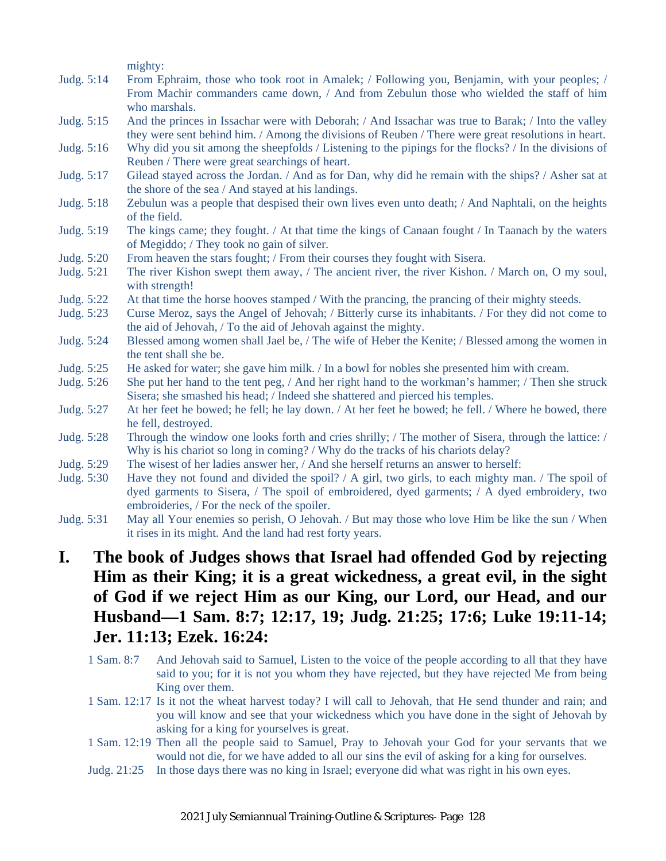mighty:

- Judg. 5:14 From Ephraim, those who took root in Amalek; / Following you, Benjamin, with your peoples; / From Machir commanders came down, / And from Zebulun those who wielded the staff of him who marshals.
- Judg. 5:15 And the princes in Issachar were with Deborah; / And Issachar was true to Barak; / Into the valley they were sent behind him. / Among the divisions of Reuben / There were great resolutions in heart.
- Judg. 5:16 Why did you sit among the sheepfolds / Listening to the pipings for the flocks? / In the divisions of Reuben / There were great searchings of heart.
- Judg. 5:17 Gilead stayed across the Jordan. / And as for Dan, why did he remain with the ships? / Asher sat at the shore of the sea / And stayed at his landings.
- Judg. 5:18 Zebulun was a people that despised their own lives even unto death; / And Naphtali, on the heights of the field.
- Judg. 5:19 The kings came; they fought. / At that time the kings of Canaan fought / In Taanach by the waters of Megiddo; / They took no gain of silver.
- Judg. 5:20 From heaven the stars fought; / From their courses they fought with Sisera.
- Judg. 5:21 The river Kishon swept them away, / The ancient river, the river Kishon. / March on, O my soul, with strength!
- Judg. 5:22 At that time the horse hooves stamped / With the prancing, the prancing of their mighty steeds.
- Judg. 5:23 Curse Meroz, says the Angel of Jehovah; / Bitterly curse its inhabitants. / For they did not come to the aid of Jehovah, / To the aid of Jehovah against the mighty.
- Judg. 5:24 Blessed among women shall Jael be, / The wife of Heber the Kenite; / Blessed among the women in the tent shall she be.
- Judg. 5:25 He asked for water; she gave him milk. / In a bowl for nobles she presented him with cream.
- Judg. 5:26 She put her hand to the tent peg, / And her right hand to the workman's hammer; / Then she struck Sisera; she smashed his head; / Indeed she shattered and pierced his temples.
- Judg. 5:27 At her feet he bowed; he fell; he lay down. / At her feet he bowed; he fell. / Where he bowed, there he fell, destroyed.
- Judg. 5:28 Through the window one looks forth and cries shrilly; / The mother of Sisera, through the lattice: / Why is his chariot so long in coming? / Why do the tracks of his chariots delay?
- Judg. 5:29 The wisest of her ladies answer her, / And she herself returns an answer to herself:
- Judg. 5:30 Have they not found and divided the spoil? / A girl, two girls, to each mighty man. / The spoil of dyed garments to Sisera, / The spoil of embroidered, dyed garments; / A dyed embroidery, two embroideries, / For the neck of the spoiler.
- Judg. 5:31 May all Your enemies so perish, O Jehovah. / But may those who love Him be like the sun / When it rises in its might. And the land had rest forty years.
- **I. The book of Judges shows that Israel had offended God by rejecting Him as their King; it is a great wickedness, a great evil, in the sight of God if we reject Him as our King, our Lord, our Head, and our Husband—1 Sam. 8:7; 12:17, 19; Judg. 21:25; 17:6; Luke 19:11-14; Jer. 11:13; Ezek. 16:24:**
	- 1 Sam. 8:7 And Jehovah said to Samuel, Listen to the voice of the people according to all that they have said to you; for it is not you whom they have rejected, but they have rejected Me from being King over them.
	- 1 Sam. 12:17 Is it not the wheat harvest today? I will call to Jehovah, that He send thunder and rain; and you will know and see that your wickedness which you have done in the sight of Jehovah by asking for a king for yourselves is great.
	- 1 Sam. 12:19 Then all the people said to Samuel, Pray to Jehovah your God for your servants that we would not die, for we have added to all our sins the evil of asking for a king for ourselves.
	- Judg. 21:25 In those days there was no king in Israel; everyone did what was right in his own eyes.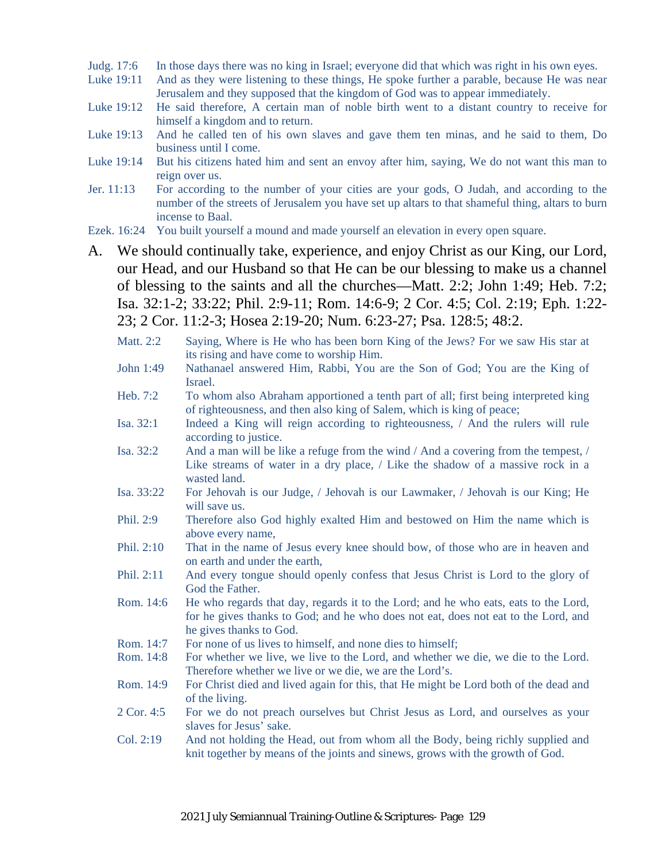- Judg. 17:6 In those days there was no king in Israel; everyone did that which was right in his own eyes.
- Luke 19:11 And as they were listening to these things, He spoke further a parable, because He was near Jerusalem and they supposed that the kingdom of God was to appear immediately.
- Luke 19:12 He said therefore, A certain man of noble birth went to a distant country to receive for himself a kingdom and to return.
- Luke 19:13 And he called ten of his own slaves and gave them ten minas, and he said to them, Do business until I come.
- Luke 19:14 But his citizens hated him and sent an envoy after him, saying, We do not want this man to reign over us.
- Jer. 11:13 For according to the number of your cities are your gods, O Judah, and according to the number of the streets of Jerusalem you have set up altars to that shameful thing, altars to burn incense to Baal.
- Ezek. 16:24 You built yourself a mound and made yourself an elevation in every open square.
- A. We should continually take, experience, and enjoy Christ as our King, our Lord, our Head, and our Husband so that He can be our blessing to make us a channel of blessing to the saints and all the churches—Matt. 2:2; John 1:49; Heb. 7:2; Isa. 32:1-2; 33:22; Phil. 2:9-11; Rom. 14:6-9; 2 Cor. 4:5; Col. 2:19; Eph. 1:22- 23; 2 Cor. 11:2-3; Hosea 2:19-20; Num. 6:23-27; Psa. 128:5; 48:2.
	- Matt. 2:2 Saying, Where is He who has been born King of the Jews? For we saw His star at its rising and have come to worship Him.
	- John 1:49 Nathanael answered Him, Rabbi, You are the Son of God; You are the King of Israel.
	- Heb. 7:2 To whom also Abraham apportioned a tenth part of all; first being interpreted king of righteousness, and then also king of Salem, which is king of peace;
	- Isa. 32:1 Indeed a King will reign according to righteousness, / And the rulers will rule according to justice.
	- Isa. 32:2 And a man will be like a refuge from the wind / And a covering from the tempest, / Like streams of water in a dry place, / Like the shadow of a massive rock in a wasted land.
	- Isa. 33:22 For Jehovah is our Judge, / Jehovah is our Lawmaker, / Jehovah is our King; He will save us.
	- Phil. 2:9 Therefore also God highly exalted Him and bestowed on Him the name which is above every name,
	- Phil. 2:10 That in the name of Jesus every knee should bow, of those who are in heaven and on earth and under the earth,
	- Phil. 2:11 And every tongue should openly confess that Jesus Christ is Lord to the glory of God the Father.
	- Rom. 14:6 He who regards that day, regards it to the Lord; and he who eats, eats to the Lord, for he gives thanks to God; and he who does not eat, does not eat to the Lord, and he gives thanks to God.
	- Rom. 14:7 For none of us lives to himself, and none dies to himself;
	- Rom. 14:8 For whether we live, we live to the Lord, and whether we die, we die to the Lord. Therefore whether we live or we die, we are the Lord's.
	- Rom. 14:9 For Christ died and lived again for this, that He might be Lord both of the dead and of the living.
	- 2 Cor. 4:5 For we do not preach ourselves but Christ Jesus as Lord, and ourselves as your slaves for Jesus' sake.
	- Col. 2:19 And not holding the Head, out from whom all the Body, being richly supplied and knit together by means of the joints and sinews, grows with the growth of God.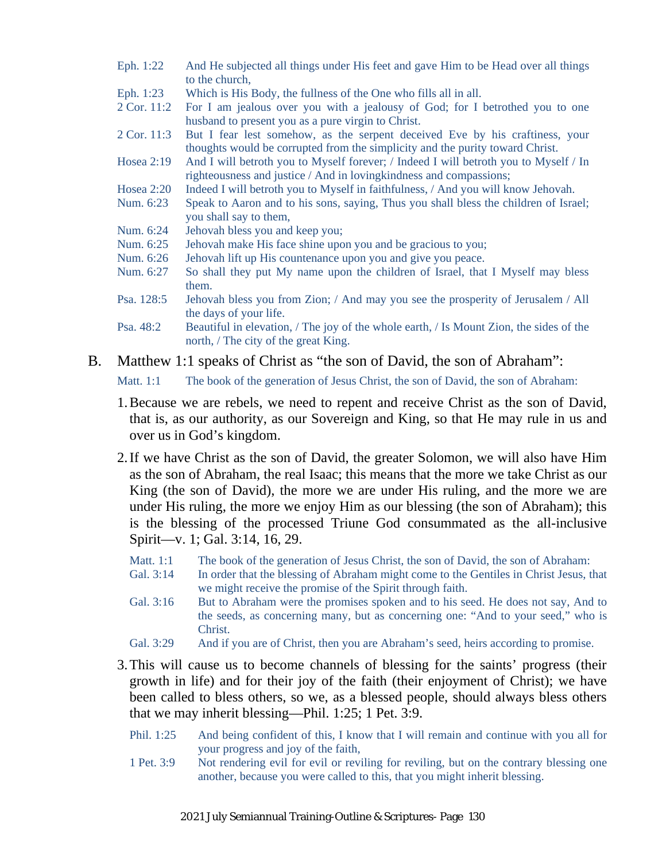- Eph. 1:22 And He subjected all things under His feet and gave Him to be Head over all things to the church,
- Eph. 1:23 Which is His Body, the fullness of the One who fills all in all.
- 2 Cor. 11:2 For I am jealous over you with a jealousy of God; for I betrothed you to one husband to present you as a pure virgin to Christ.
- 2 Cor. 11:3 But I fear lest somehow, as the serpent deceived Eve by his craftiness, your thoughts would be corrupted from the simplicity and the purity toward Christ.
- Hosea 2:19 And I will betroth you to Myself forever; / Indeed I will betroth you to Myself / In righteousness and justice / And in lovingkindness and compassions;
- Hosea 2:20 Indeed I will betroth you to Myself in faithfulness, / And you will know Jehovah.
- Num. 6:23 Speak to Aaron and to his sons, saying, Thus you shall bless the children of Israel; you shall say to them,
- Num. 6:24 Jehovah bless you and keep you;
- Num. 6:25 Jehovah make His face shine upon you and be gracious to you;
- Num. 6:26 Jehovah lift up His countenance upon you and give you peace.
- Num. 6:27 So shall they put My name upon the children of Israel, that I Myself may bless them.
- Psa. 128:5 Jehovah bless you from Zion; / And may you see the prosperity of Jerusalem / All the days of your life.
- Psa. 48:2 Beautiful in elevation, / The joy of the whole earth, / Is Mount Zion, the sides of the north, / The city of the great King.
- B. Matthew 1:1 speaks of Christ as "the son of David, the son of Abraham":

Matt. 1:1 The book of the generation of Jesus Christ, the son of David, the son of Abraham:

- 1.Because we are rebels, we need to repent and receive Christ as the son of David, that is, as our authority, as our Sovereign and King, so that He may rule in us and over us in God's kingdom.
- 2.If we have Christ as the son of David, the greater Solomon, we will also have Him as the son of Abraham, the real Isaac; this means that the more we take Christ as our King (the son of David), the more we are under His ruling, and the more we are under His ruling, the more we enjoy Him as our blessing (the son of Abraham); this is the blessing of the processed Triune God consummated as the all-inclusive Spirit—v. 1; Gal. 3:14, 16, 29.
	- Matt. 1:1 The book of the generation of Jesus Christ, the son of David, the son of Abraham:
	- Gal. 3:14 In order that the blessing of Abraham might come to the Gentiles in Christ Jesus, that we might receive the promise of the Spirit through faith.
	- Gal. 3:16 But to Abraham were the promises spoken and to his seed. He does not say, And to the seeds, as concerning many, but as concerning one: "And to your seed," who is Christ.
	- Gal. 3:29 And if you are of Christ, then you are Abraham's seed, heirs according to promise.
- 3.This will cause us to become channels of blessing for the saints' progress (their growth in life) and for their joy of the faith (their enjoyment of Christ); we have been called to bless others, so we, as a blessed people, should always bless others that we may inherit blessing—Phil. 1:25; 1 Pet. 3:9.
	- Phil. 1:25 And being confident of this, I know that I will remain and continue with you all for your progress and joy of the faith,
	- 1 Pet. 3:9 Not rendering evil for evil or reviling for reviling, but on the contrary blessing one another, because you were called to this, that you might inherit blessing.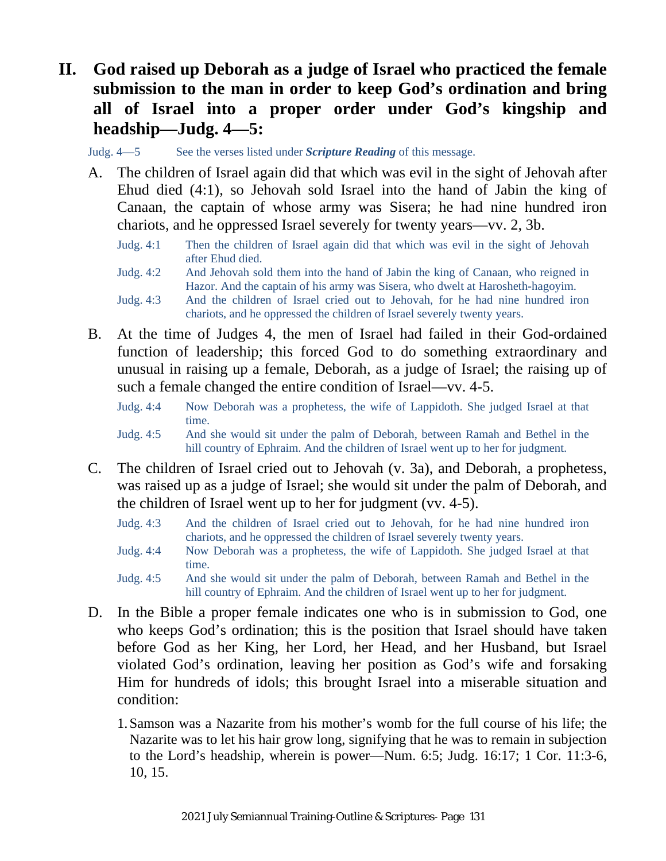## **II. God raised up Deborah as a judge of Israel who practiced the female submission to the man in order to keep God's ordination and bring all of Israel into a proper order under God's kingship and headship—Judg. 4—5:**

Judg. 4—5 See the verses listed under *Scripture Reading* of this message.

- A. The children of Israel again did that which was evil in the sight of Jehovah after Ehud died (4:1), so Jehovah sold Israel into the hand of Jabin the king of Canaan, the captain of whose army was Sisera; he had nine hundred iron chariots, and he oppressed Israel severely for twenty years—vv. 2, 3b.
	- Judg. 4:1 Then the children of Israel again did that which was evil in the sight of Jehovah after Ehud died.
	- Judg. 4:2 And Jehovah sold them into the hand of Jabin the king of Canaan, who reigned in Hazor. And the captain of his army was Sisera, who dwelt at Harosheth-hagoyim.
	- Judg. 4:3 And the children of Israel cried out to Jehovah, for he had nine hundred iron chariots, and he oppressed the children of Israel severely twenty years.
- B. At the time of Judges 4, the men of Israel had failed in their God-ordained function of leadership; this forced God to do something extraordinary and unusual in raising up a female, Deborah, as a judge of Israel; the raising up of such a female changed the entire condition of Israel—vv. 4-5.
	- Judg. 4:4 Now Deborah was a prophetess, the wife of Lappidoth. She judged Israel at that time.
	- Judg. 4:5 And she would sit under the palm of Deborah, between Ramah and Bethel in the hill country of Ephraim. And the children of Israel went up to her for judgment.
- C. The children of Israel cried out to Jehovah (v. 3a), and Deborah, a prophetess, was raised up as a judge of Israel; she would sit under the palm of Deborah, and the children of Israel went up to her for judgment (vv. 4-5).
	- Judg. 4:3 And the children of Israel cried out to Jehovah, for he had nine hundred iron chariots, and he oppressed the children of Israel severely twenty years.
	- Judg. 4:4 Now Deborah was a prophetess, the wife of Lappidoth. She judged Israel at that time.
	- Judg. 4:5 And she would sit under the palm of Deborah, between Ramah and Bethel in the hill country of Ephraim. And the children of Israel went up to her for judgment.
- D. In the Bible a proper female indicates one who is in submission to God, one who keeps God's ordination; this is the position that Israel should have taken before God as her King, her Lord, her Head, and her Husband, but Israel violated God's ordination, leaving her position as God's wife and forsaking Him for hundreds of idols; this brought Israel into a miserable situation and condition:
	- 1.Samson was a Nazarite from his mother's womb for the full course of his life; the Nazarite was to let his hair grow long, signifying that he was to remain in subjection to the Lord's headship, wherein is power—Num. 6:5; Judg. 16:17; 1 Cor. 11:3-6, 10, 15.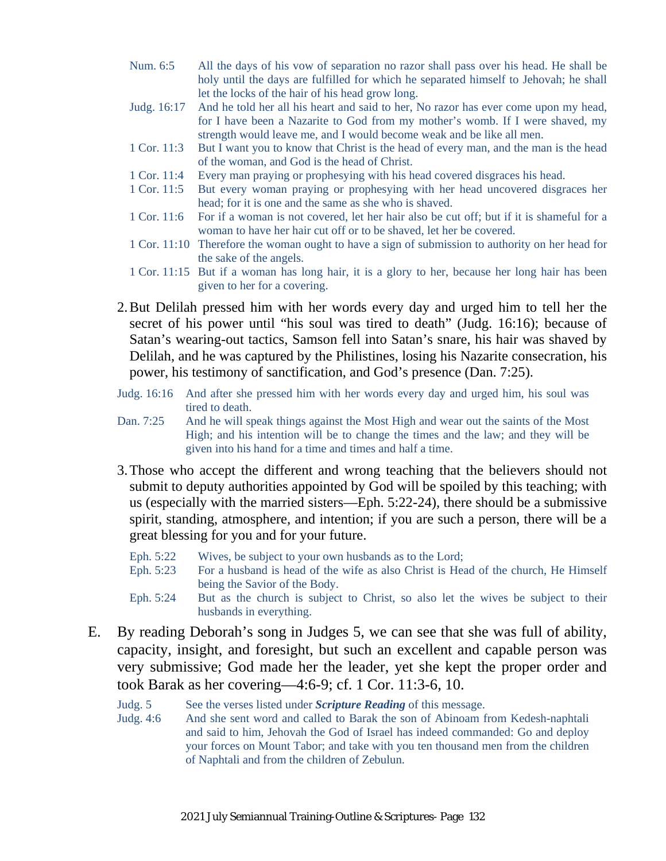- Num. 6:5 All the days of his vow of separation no razor shall pass over his head. He shall be holy until the days are fulfilled for which he separated himself to Jehovah; he shall let the locks of the hair of his head grow long.
- Judg. 16:17 And he told her all his heart and said to her, No razor has ever come upon my head, for I have been a Nazarite to God from my mother's womb. If I were shaved, my strength would leave me, and I would become weak and be like all men.
- 1 Cor. 11:3 But I want you to know that Christ is the head of every man, and the man is the head of the woman, and God is the head of Christ.
- 1 Cor. 11:4 Every man praying or prophesying with his head covered disgraces his head.
- 1 Cor. 11:5 But every woman praying or prophesying with her head uncovered disgraces her head; for it is one and the same as she who is shaved.
- 1 Cor. 11:6 For if a woman is not covered, let her hair also be cut off; but if it is shameful for a woman to have her hair cut off or to be shaved, let her be covered.
- 1 Cor. 11:10 Therefore the woman ought to have a sign of submission to authority on her head for the sake of the angels.
- 1 Cor. 11:15 But if a woman has long hair, it is a glory to her, because her long hair has been given to her for a covering.
- 2.But Delilah pressed him with her words every day and urged him to tell her the secret of his power until "his soul was tired to death" (Judg. 16:16); because of Satan's wearing-out tactics, Samson fell into Satan's snare, his hair was shaved by Delilah, and he was captured by the Philistines, losing his Nazarite consecration, his power, his testimony of sanctification, and God's presence (Dan. 7:25).
- Judg. 16:16 And after she pressed him with her words every day and urged him, his soul was tired to death.
- Dan. 7:25 And he will speak things against the Most High and wear out the saints of the Most High; and his intention will be to change the times and the law; and they will be given into his hand for a time and times and half a time.
- 3.Those who accept the different and wrong teaching that the believers should not submit to deputy authorities appointed by God will be spoiled by this teaching; with us (especially with the married sisters—Eph. 5:22-24), there should be a submissive spirit, standing, atmosphere, and intention; if you are such a person, there will be a great blessing for you and for your future.
	- Eph. 5:22 Wives, be subject to your own husbands as to the Lord;
	- Eph. 5:23 For a husband is head of the wife as also Christ is Head of the church, He Himself being the Savior of the Body.
	- Eph. 5:24 But as the church is subject to Christ, so also let the wives be subject to their husbands in everything.
- E. By reading Deborah's song in Judges 5, we can see that she was full of ability, capacity, insight, and foresight, but such an excellent and capable person was very submissive; God made her the leader, yet she kept the proper order and took Barak as her covering—4:6-9; cf. 1 Cor. 11:3-6, 10.
	- Judg. 5 See the verses listed under *Scripture Reading* of this message.
	- Judg. 4:6 And she sent word and called to Barak the son of Abinoam from Kedesh-naphtali and said to him, Jehovah the God of Israel has indeed commanded: Go and deploy your forces on Mount Tabor; and take with you ten thousand men from the children of Naphtali and from the children of Zebulun.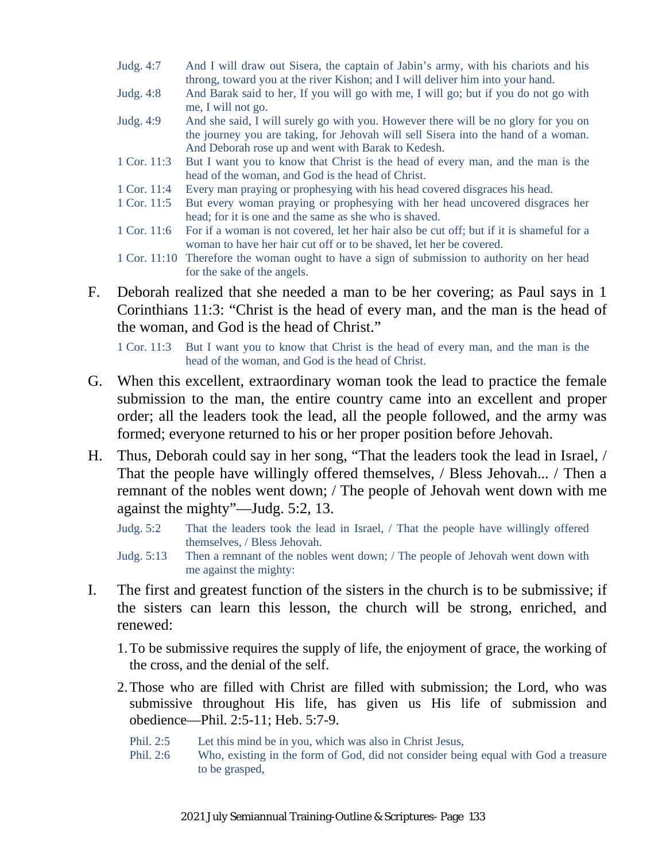- Judg. 4:7 And I will draw out Sisera, the captain of Jabin's army, with his chariots and his throng, toward you at the river Kishon; and I will deliver him into your hand.
- Judg. 4:8 And Barak said to her, If you will go with me, I will go; but if you do not go with me, I will not go.
- Judg. 4:9 And she said, I will surely go with you. However there will be no glory for you on the journey you are taking, for Jehovah will sell Sisera into the hand of a woman. And Deborah rose up and went with Barak to Kedesh.
- 1 Cor. 11:3 But I want you to know that Christ is the head of every man, and the man is the head of the woman, and God is the head of Christ.
- 1 Cor. 11:4 Every man praying or prophesying with his head covered disgraces his head.
- 1 Cor. 11:5 But every woman praying or prophesying with her head uncovered disgraces her head; for it is one and the same as she who is shaved.
- 1 Cor. 11:6 For if a woman is not covered, let her hair also be cut off; but if it is shameful for a woman to have her hair cut off or to be shaved, let her be covered.
- 1 Cor. 11:10 Therefore the woman ought to have a sign of submission to authority on her head for the sake of the angels.
- F. Deborah realized that she needed a man to be her covering; as Paul says in 1 Corinthians 11:3: "Christ is the head of every man, and the man is the head of the woman, and God is the head of Christ."

1 Cor. 11:3 But I want you to know that Christ is the head of every man, and the man is the head of the woman, and God is the head of Christ.

- G. When this excellent, extraordinary woman took the lead to practice the female submission to the man, the entire country came into an excellent and proper order; all the leaders took the lead, all the people followed, and the army was formed; everyone returned to his or her proper position before Jehovah.
- H. Thus, Deborah could say in her song, "That the leaders took the lead in Israel, / That the people have willingly offered themselves, / Bless Jehovah... / Then a remnant of the nobles went down; / The people of Jehovah went down with me against the mighty"—Judg. 5:2, 13.
	- Judg. 5:2 That the leaders took the lead in Israel, / That the people have willingly offered themselves, / Bless Jehovah.
	- Judg. 5:13 Then a remnant of the nobles went down; / The people of Jehovah went down with me against the mighty:
- I. The first and greatest function of the sisters in the church is to be submissive; if the sisters can learn this lesson, the church will be strong, enriched, and renewed:
	- 1.To be submissive requires the supply of life, the enjoyment of grace, the working of the cross, and the denial of the self.
	- 2.Those who are filled with Christ are filled with submission; the Lord, who was submissive throughout His life, has given us His life of submission and obedience—Phil. 2:5-11; Heb. 5:7-9.
		- Phil. 2:5 Let this mind be in you, which was also in Christ Jesus,
		- Phil. 2:6 Who, existing in the form of God, did not consider being equal with God a treasure to be grasped,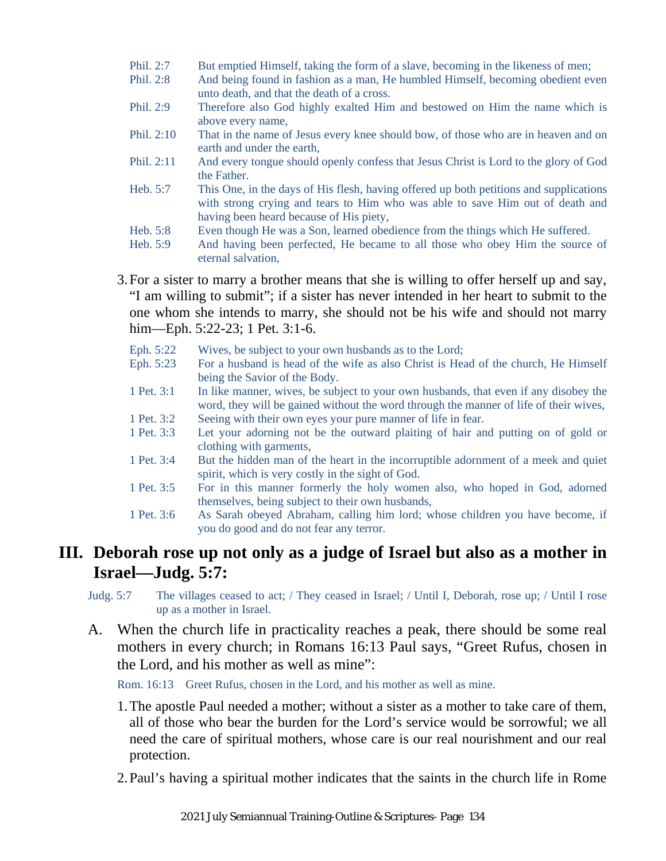- Phil. 2:7 But emptied Himself, taking the form of a slave, becoming in the likeness of men;
- Phil. 2:8 And being found in fashion as a man, He humbled Himself, becoming obedient even unto death, and that the death of a cross.
- Phil. 2:9 Therefore also God highly exalted Him and bestowed on Him the name which is above every name,
- Phil. 2:10 That in the name of Jesus every knee should bow, of those who are in heaven and on earth and under the earth,
- Phil. 2:11 And every tongue should openly confess that Jesus Christ is Lord to the glory of God the Father.
- Heb. 5:7 This One, in the days of His flesh, having offered up both petitions and supplications with strong crying and tears to Him who was able to save Him out of death and having been heard because of His piety,
- Heb. 5:8 Even though He was a Son, learned obedience from the things which He suffered.
- Heb. 5:9 And having been perfected, He became to all those who obey Him the source of eternal salvation,

3.For a sister to marry a brother means that she is willing to offer herself up and say, "I am willing to submit"; if a sister has never intended in her heart to submit to the one whom she intends to marry, she should not be his wife and should not marry him—Eph. 5:22-23; 1 Pet. 3:1-6.

- Eph. 5:22 Wives, be subject to your own husbands as to the Lord;
- Eph. 5:23 For a husband is head of the wife as also Christ is Head of the church, He Himself being the Savior of the Body.
- 1 Pet. 3:1 In like manner, wives, be subject to your own husbands, that even if any disobey the word, they will be gained without the word through the manner of life of their wives,
- 1 Pet. 3:2 Seeing with their own eyes your pure manner of life in fear.
- 1 Pet. 3:3 Let your adorning not be the outward plaiting of hair and putting on of gold or clothing with garments,
- 1 Pet. 3:4 But the hidden man of the heart in the incorruptible adornment of a meek and quiet spirit, which is very costly in the sight of God.
- 1 Pet. 3:5 For in this manner formerly the holy women also, who hoped in God, adorned themselves, being subject to their own husbands,
- 1 Pet. 3:6 As Sarah obeyed Abraham, calling him lord; whose children you have become, if you do good and do not fear any terror.

### **III. Deborah rose up not only as a judge of Israel but also as a mother in Israel—Judg. 5:7:**

Judg. 5:7 The villages ceased to act; / They ceased in Israel; / Until I, Deborah, rose up; / Until I rose up as a mother in Israel.

A. When the church life in practicality reaches a peak, there should be some real mothers in every church; in Romans 16:13 Paul says, "Greet Rufus, chosen in the Lord, and his mother as well as mine":

Rom. 16:13 Greet Rufus, chosen in the Lord, and his mother as well as mine.

- 1.The apostle Paul needed a mother; without a sister as a mother to take care of them, all of those who bear the burden for the Lord's service would be sorrowful; we all need the care of spiritual mothers, whose care is our real nourishment and our real protection.
- 2.Paul's having a spiritual mother indicates that the saints in the church life in Rome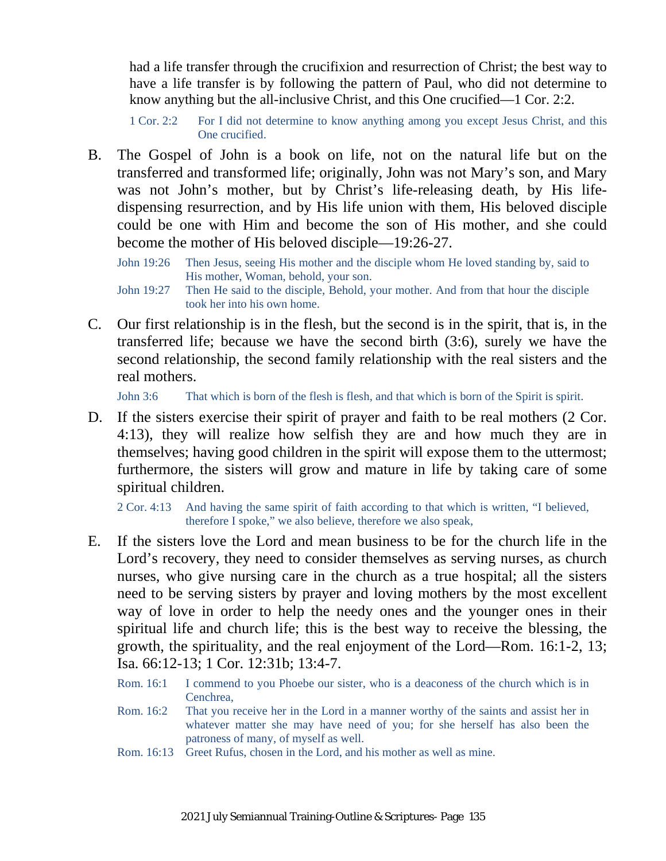had a life transfer through the crucifixion and resurrection of Christ; the best way to have a life transfer is by following the pattern of Paul, who did not determine to know anything but the all-inclusive Christ, and this One crucified—1 Cor. 2:2.

1 Cor. 2:2 For I did not determine to know anything among you except Jesus Christ, and this One crucified.

- B. The Gospel of John is a book on life, not on the natural life but on the transferred and transformed life; originally, John was not Mary's son, and Mary was not John's mother, but by Christ's life-releasing death, by His lifedispensing resurrection, and by His life union with them, His beloved disciple could be one with Him and become the son of His mother, and she could become the mother of His beloved disciple—19:26-27.
	- John 19:26 Then Jesus, seeing His mother and the disciple whom He loved standing by, said to His mother, Woman, behold, your son.
	- John 19:27 Then He said to the disciple, Behold, your mother. And from that hour the disciple took her into his own home.
- C. Our first relationship is in the flesh, but the second is in the spirit, that is, in the transferred life; because we have the second birth (3:6), surely we have the second relationship, the second family relationship with the real sisters and the real mothers.

John 3:6 That which is born of the flesh is flesh, and that which is born of the Spirit is spirit.

D. If the sisters exercise their spirit of prayer and faith to be real mothers (2 Cor. 4:13), they will realize how selfish they are and how much they are in themselves; having good children in the spirit will expose them to the uttermost; furthermore, the sisters will grow and mature in life by taking care of some spiritual children.

2 Cor. 4:13 And having the same spirit of faith according to that which is written, "I believed, therefore I spoke," we also believe, therefore we also speak,

- E. If the sisters love the Lord and mean business to be for the church life in the Lord's recovery, they need to consider themselves as serving nurses, as church nurses, who give nursing care in the church as a true hospital; all the sisters need to be serving sisters by prayer and loving mothers by the most excellent way of love in order to help the needy ones and the younger ones in their spiritual life and church life; this is the best way to receive the blessing, the growth, the spirituality, and the real enjoyment of the Lord—Rom. 16:1-2, 13; Isa. 66:12-13; 1 Cor. 12:31b; 13:4-7.
	- Rom. 16:1 I commend to you Phoebe our sister, who is a deaconess of the church which is in Cenchrea,
	- Rom. 16:2 That you receive her in the Lord in a manner worthy of the saints and assist her in whatever matter she may have need of you; for she herself has also been the patroness of many, of myself as well.
	- Rom. 16:13 Greet Rufus, chosen in the Lord, and his mother as well as mine.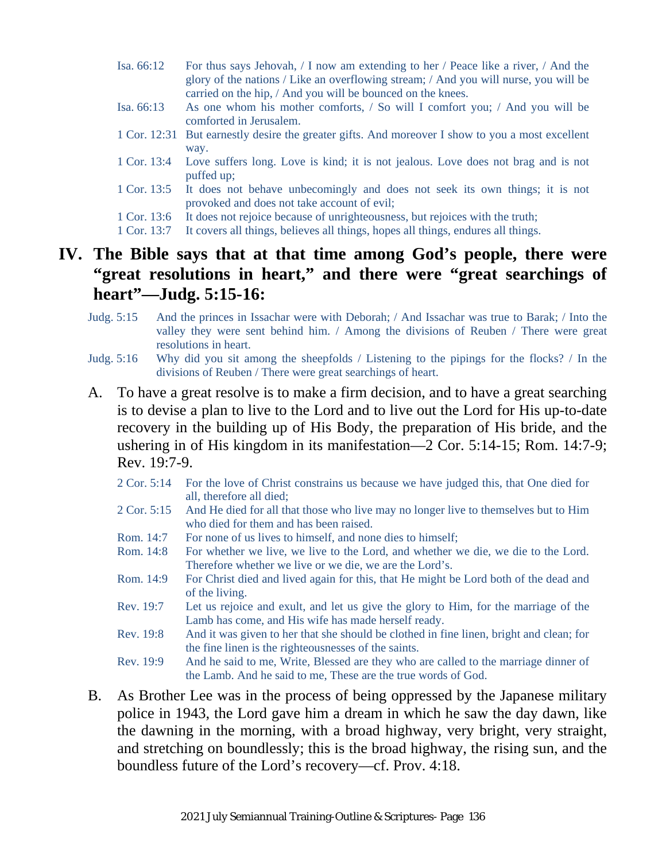- Isa. 66:12 For thus says Jehovah, / I now am extending to her / Peace like a river, / And the glory of the nations / Like an overflowing stream; / And you will nurse, you will be carried on the hip, / And you will be bounced on the knees.
- Isa. 66:13 As one whom his mother comforts, / So will I comfort you; / And you will be comforted in Jerusalem.
- 1 Cor. 12:31 But earnestly desire the greater gifts. And moreover I show to you a most excellent way.
- 1 Cor. 13:4 Love suffers long. Love is kind; it is not jealous. Love does not brag and is not puffed up;
- 1 Cor. 13:5 It does not behave unbecomingly and does not seek its own things; it is not provoked and does not take account of evil;
- 1 Cor. 13:6 It does not rejoice because of unrighteousness, but rejoices with the truth;
- 1 Cor. 13:7 It covers all things, believes all things, hopes all things, endures all things.

### **IV. The Bible says that at that time among God's people, there were "great resolutions in heart," and there were "great searchings of heart"—Judg. 5:15-16:**

- Judg. 5:15 And the princes in Issachar were with Deborah; / And Issachar was true to Barak; / Into the valley they were sent behind him. / Among the divisions of Reuben / There were great resolutions in heart.
- Judg. 5:16 Why did you sit among the sheepfolds / Listening to the pipings for the flocks? / In the divisions of Reuben / There were great searchings of heart.
- A. To have a great resolve is to make a firm decision, and to have a great searching is to devise a plan to live to the Lord and to live out the Lord for His up-to-date recovery in the building up of His Body, the preparation of His bride, and the ushering in of His kingdom in its manifestation—2 Cor. 5:14-15; Rom. 14:7-9; Rev. 19:7-9.
	- 2 Cor. 5:14 For the love of Christ constrains us because we have judged this, that One died for all, therefore all died;
	- 2 Cor. 5:15 And He died for all that those who live may no longer live to themselves but to Him who died for them and has been raised.
	- Rom. 14:7 For none of us lives to himself, and none dies to himself:
	- Rom. 14:8 For whether we live, we live to the Lord, and whether we die, we die to the Lord. Therefore whether we live or we die, we are the Lord's.
	- Rom. 14:9 For Christ died and lived again for this, that He might be Lord both of the dead and of the living.
	- Rev. 19:7 Let us rejoice and exult, and let us give the glory to Him, for the marriage of the Lamb has come, and His wife has made herself ready.
	- Rev. 19:8 And it was given to her that she should be clothed in fine linen, bright and clean; for the fine linen is the righteousnesses of the saints.
	- Rev. 19:9 And he said to me, Write, Blessed are they who are called to the marriage dinner of the Lamb. And he said to me, These are the true words of God.
- B. As Brother Lee was in the process of being oppressed by the Japanese military police in 1943, the Lord gave him a dream in which he saw the day dawn, like the dawning in the morning, with a broad highway, very bright, very straight, and stretching on boundlessly; this is the broad highway, the rising sun, and the boundless future of the Lord's recovery—cf. Prov. 4:18.